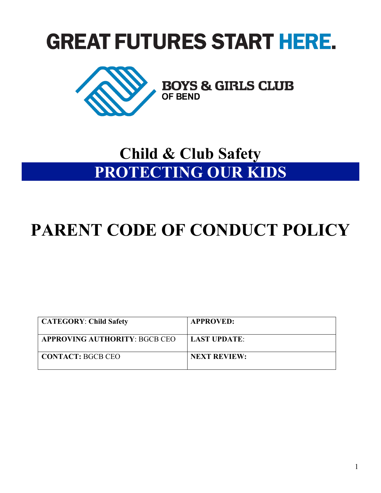# **GREAT FUTURES START HERE.**



## **Child & Club Safety PROTECTING OUR KIDS**

## **PARENT CODE OF CONDUCT POLICY**

| <b>CATEGORY: Child Safety</b> | <b>APPROVED:</b>    |
|-------------------------------|---------------------|
| APPROVING AUTHORITY: BGCB CEO | LAST UPDATE:        |
| <b>CONTACT: BGCB CEO</b>      | <b>NEXT REVIEW:</b> |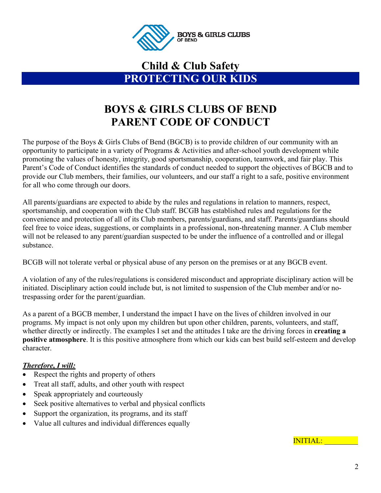

### **Child & Club Safety PROTECTING OUR KIDS**

## **BOYS & GIRLS CLUBS OF BEND PARENT CODE OF CONDUCT**

The purpose of the Boys & Girls Clubs of Bend (BGCB) is to provide children of our community with an opportunity to participate in a variety of Programs & Activities and after-school youth development while promoting the values of honesty, integrity, good sportsmanship, cooperation, teamwork, and fair play. This Parent's Code of Conduct identifies the standards of conduct needed to support the objectives of BGCB and to provide our Club members, their families, our volunteers, and our staff a right to a safe, positive environment for all who come through our doors.

All parents/guardians are expected to abide by the rules and regulations in relation to manners, respect, sportsmanship, and cooperation with the Club staff. BCGB has established rules and regulations for the convenience and protection of all of its Club members, parents/guardians, and staff. Parents/guardians should feel free to voice ideas, suggestions, or complaints in a professional, non-threatening manner. A Club member will not be released to any parent/guardian suspected to be under the influence of a controlled and or illegal substance.

BCGB will not tolerate verbal or physical abuse of any person on the premises or at any BGCB event.

A violation of any of the rules/regulations is considered misconduct and appropriate disciplinary action will be initiated. Disciplinary action could include but, is not limited to suspension of the Club member and/or notrespassing order for the parent/guardian.

As a parent of a BGCB member, I understand the impact I have on the lives of children involved in our programs. My impact is not only upon my children but upon other children, parents, volunteers, and staff, whether directly or indirectly. The examples I set and the attitudes I take are the driving forces in **creating a positive atmosphere**. It is this positive atmosphere from which our kids can best build self-esteem and develop character.

#### *Therefore, I will:*

- Respect the rights and property of others
- Treat all staff, adults, and other youth with respect
- Speak appropriately and courteously
- Seek positive alternatives to verbal and physical conflicts
- Support the organization, its programs, and its staff
- Value all cultures and individual differences equally

INITIAL: \_\_\_\_\_\_\_\_\_